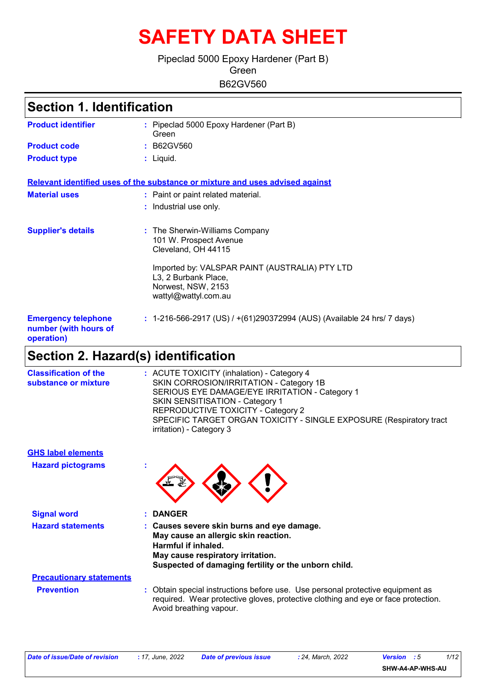# **SAFETY DATA SHEET**

### B62GV560 Pipeclad 5000 Epoxy Hardener (Part B) **Green**

| <b>Section 1. Identification</b>                                  |                                                                                                                      |  |
|-------------------------------------------------------------------|----------------------------------------------------------------------------------------------------------------------|--|
| <b>Product identifier</b>                                         | : Pipeclad 5000 Epoxy Hardener (Part B)<br>Green                                                                     |  |
| <b>Product code</b>                                               | : B62GV560                                                                                                           |  |
| <b>Product type</b>                                               | : Liquid.                                                                                                            |  |
|                                                                   | Relevant identified uses of the substance or mixture and uses advised against                                        |  |
| <b>Material uses</b>                                              | : Paint or paint related material.                                                                                   |  |
|                                                                   | : Industrial use only.                                                                                               |  |
| <b>Supplier's details</b>                                         | : The Sherwin-Williams Company<br>101 W. Prospect Avenue<br>Cleveland, OH 44115                                      |  |
|                                                                   | Imported by: VALSPAR PAINT (AUSTRALIA) PTY LTD<br>L3, 2 Burbank Place,<br>Norwest, NSW, 2153<br>wattyl@wattyl.com.au |  |
| <b>Emergency telephone</b><br>number (with hours of<br>operation) | : 1-216-566-2917 (US) / $+(61)290372994$ (AUS) (Available 24 hrs/ 7 days)                                            |  |

### **Section 2. Hazard(s) identification**

| <b>Classification of the</b><br>substance or mixture | : ACUTE TOXICITY (inhalation) - Category 4<br>SKIN CORROSION/IRRITATION - Category 1B<br>SERIOUS EYE DAMAGE/EYE IRRITATION - Category 1<br>SKIN SENSITISATION - Category 1<br>REPRODUCTIVE TOXICITY - Category 2<br>SPECIFIC TARGET ORGAN TOXICITY - SINGLE EXPOSURE (Respiratory tract<br>irritation) - Category 3 |
|------------------------------------------------------|---------------------------------------------------------------------------------------------------------------------------------------------------------------------------------------------------------------------------------------------------------------------------------------------------------------------|
| <b>GHS label elements</b>                            |                                                                                                                                                                                                                                                                                                                     |
| <b>Hazard pictograms</b>                             |                                                                                                                                                                                                                                                                                                                     |
| <b>Signal word</b>                                   | <b>DANGER</b>                                                                                                                                                                                                                                                                                                       |
| <b>Hazard statements</b>                             | : Causes severe skin burns and eye damage.<br>May cause an allergic skin reaction.<br>Harmful if inhaled.<br>May cause respiratory irritation.<br>Suspected of damaging fertility or the unborn child.                                                                                                              |
| <b>Precautionary statements</b>                      |                                                                                                                                                                                                                                                                                                                     |
| <b>Prevention</b>                                    | : Obtain special instructions before use. Use personal protective equipment as<br>required. Wear protective gloves, protective clothing and eye or face protection.<br>Avoid breathing vapour.                                                                                                                      |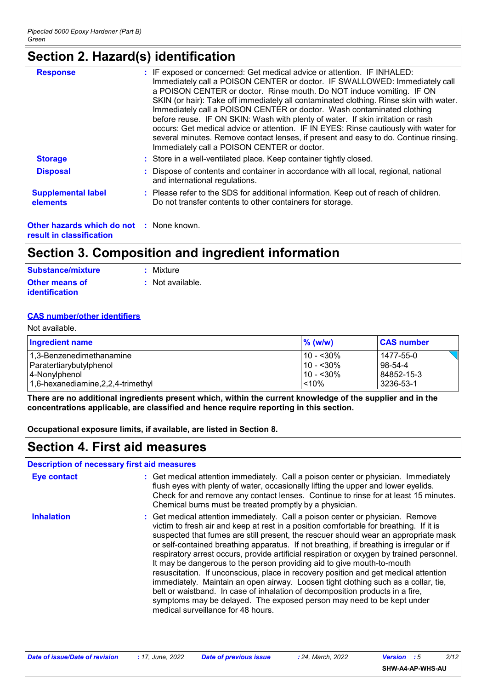### **Section 2. Hazard(s) identification**

| <b>Response</b>                       | : IF exposed or concerned: Get medical advice or attention. IF INHALED:<br>Immediately call a POISON CENTER or doctor. IF SWALLOWED: Immediately call<br>a POISON CENTER or doctor. Rinse mouth. Do NOT induce vomiting. IF ON<br>SKIN (or hair): Take off immediately all contaminated clothing. Rinse skin with water.<br>Immediately call a POISON CENTER or doctor. Wash contaminated clothing<br>before reuse. IF ON SKIN: Wash with plenty of water. If skin irritation or rash<br>occurs: Get medical advice or attention. IF IN EYES: Rinse cautiously with water for<br>several minutes. Remove contact lenses, if present and easy to do. Continue rinsing.<br>Immediately call a POISON CENTER or doctor. |
|---------------------------------------|----------------------------------------------------------------------------------------------------------------------------------------------------------------------------------------------------------------------------------------------------------------------------------------------------------------------------------------------------------------------------------------------------------------------------------------------------------------------------------------------------------------------------------------------------------------------------------------------------------------------------------------------------------------------------------------------------------------------|
| <b>Storage</b>                        | : Store in a well-ventilated place. Keep container tightly closed.                                                                                                                                                                                                                                                                                                                                                                                                                                                                                                                                                                                                                                                   |
| <b>Disposal</b>                       | : Dispose of contents and container in accordance with all local, regional, national<br>and international regulations.                                                                                                                                                                                                                                                                                                                                                                                                                                                                                                                                                                                               |
| <b>Supplemental label</b><br>elements | : Please refer to the SDS for additional information. Keep out of reach of children.<br>Do not transfer contents to other containers for storage.                                                                                                                                                                                                                                                                                                                                                                                                                                                                                                                                                                    |

**Other hazards which do not :** None known. **result in classification**

### **Section 3. Composition and ingredient information**

| Substance/mixture     | : Mixture        |
|-----------------------|------------------|
| <b>Other means of</b> | : Not available. |
| <b>identification</b> |                  |

#### **CAS number/other identifiers**

| Not available.                       |               |                   |  |
|--------------------------------------|---------------|-------------------|--|
| <b>Ingredient name</b>               | $\%$ (w/w)    | <b>CAS number</b> |  |
| 1,3-Benzenedimethanamine             | l 10 - <30% l | 1477-55-0         |  |
| Paratertiarybutylphenol              | l 10 - <30%   | 98-54-4           |  |
| 4-Nonylphenol                        | l 10 - <30%   | 84852-15-3        |  |
| 1,6-hexanediamine, 2, 2, 4-trimethyl | < 10%         | 3236-53-1         |  |

**There are no additional ingredients present which, within the current knowledge of the supplier and in the concentrations applicable, are classified and hence require reporting in this section.**

**Occupational exposure limits, if available, are listed in Section 8.**

|                    | <b>Description of necessary first aid measures</b>                                                                                                                                                                                                                                                                                                                                                                                                                                                                                                                                                                                                                                                                                                                                                                                                                                                              |
|--------------------|-----------------------------------------------------------------------------------------------------------------------------------------------------------------------------------------------------------------------------------------------------------------------------------------------------------------------------------------------------------------------------------------------------------------------------------------------------------------------------------------------------------------------------------------------------------------------------------------------------------------------------------------------------------------------------------------------------------------------------------------------------------------------------------------------------------------------------------------------------------------------------------------------------------------|
| <b>Eye contact</b> | : Get medical attention immediately. Call a poison center or physician. Immediately<br>flush eyes with plenty of water, occasionally lifting the upper and lower eyelids.<br>Check for and remove any contact lenses. Continue to rinse for at least 15 minutes.<br>Chemical burns must be treated promptly by a physician.                                                                                                                                                                                                                                                                                                                                                                                                                                                                                                                                                                                     |
| <b>Inhalation</b>  | : Get medical attention immediately. Call a poison center or physician. Remove<br>victim to fresh air and keep at rest in a position comfortable for breathing. If it is<br>suspected that fumes are still present, the rescuer should wear an appropriate mask<br>or self-contained breathing apparatus. If not breathing, if breathing is irregular or if<br>respiratory arrest occurs, provide artificial respiration or oxygen by trained personnel.<br>It may be dangerous to the person providing aid to give mouth-to-mouth<br>resuscitation. If unconscious, place in recovery position and get medical attention<br>immediately. Maintain an open airway. Loosen tight clothing such as a collar, tie,<br>belt or waistband. In case of inhalation of decomposition products in a fire,<br>symptoms may be delayed. The exposed person may need to be kept under<br>medical surveillance for 48 hours. |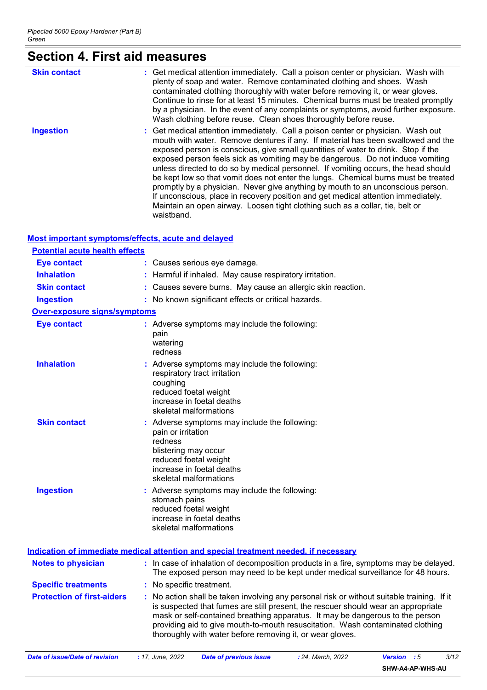# **Section 4. First aid measures**

| <b>Skin contact</b> | : Get medical attention immediately. Call a poison center or physician. Wash with<br>plenty of soap and water. Remove contaminated clothing and shoes. Wash<br>contaminated clothing thoroughly with water before removing it, or wear gloves.<br>Continue to rinse for at least 15 minutes. Chemical burns must be treated promptly<br>by a physician. In the event of any complaints or symptoms, avoid further exposure.<br>Wash clothing before reuse. Clean shoes thoroughly before reuse.                                                                                                                                                                                                                                                                                                |
|---------------------|------------------------------------------------------------------------------------------------------------------------------------------------------------------------------------------------------------------------------------------------------------------------------------------------------------------------------------------------------------------------------------------------------------------------------------------------------------------------------------------------------------------------------------------------------------------------------------------------------------------------------------------------------------------------------------------------------------------------------------------------------------------------------------------------|
| <b>Ingestion</b>    | : Get medical attention immediately. Call a poison center or physician. Wash out<br>mouth with water. Remove dentures if any. If material has been swallowed and the<br>exposed person is conscious, give small quantities of water to drink. Stop if the<br>exposed person feels sick as vomiting may be dangerous. Do not induce vomiting<br>unless directed to do so by medical personnel. If vomiting occurs, the head should<br>be kept low so that vomit does not enter the lungs. Chemical burns must be treated<br>promptly by a physician. Never give anything by mouth to an unconscious person.<br>If unconscious, place in recovery position and get medical attention immediately.<br>Maintain an open airway. Loosen tight clothing such as a collar, tie, belt or<br>waistband. |

#### **Most important symptoms/effects, acute and delayed**

| <b>Potential acute health effects</b> |                                                                                                                                                                                        |
|---------------------------------------|----------------------------------------------------------------------------------------------------------------------------------------------------------------------------------------|
| <b>Eye contact</b>                    | : Causes serious eye damage.                                                                                                                                                           |
| <b>Inhalation</b>                     | : Harmful if inhaled. May cause respiratory irritation.                                                                                                                                |
| <b>Skin contact</b>                   | : Causes severe burns. May cause an allergic skin reaction.                                                                                                                            |
| <b>Ingestion</b>                      | : No known significant effects or critical hazards.                                                                                                                                    |
| Over-exposure signs/symptoms          |                                                                                                                                                                                        |
| <b>Eye contact</b>                    | : Adverse symptoms may include the following:<br>pain<br>watering<br>redness                                                                                                           |
| <b>Inhalation</b>                     | : Adverse symptoms may include the following:<br>respiratory tract irritation<br>coughing<br>reduced foetal weight<br>increase in foetal deaths<br>skeletal malformations              |
| <b>Skin contact</b>                   | : Adverse symptoms may include the following:<br>pain or irritation<br>redness<br>blistering may occur<br>reduced foetal weight<br>increase in foetal deaths<br>skeletal malformations |
| <b>Ingestion</b>                      | : Adverse symptoms may include the following:<br>stomach pains<br>reduced foetal weight<br>increase in foetal deaths<br>skeletal malformations                                         |

|                                   | Indication of immediate medical attention and special treatment needed, if necessary                                                                                                                                                                                                                                                                                                                            |
|-----------------------------------|-----------------------------------------------------------------------------------------------------------------------------------------------------------------------------------------------------------------------------------------------------------------------------------------------------------------------------------------------------------------------------------------------------------------|
| <b>Notes to physician</b>         | : In case of inhalation of decomposition products in a fire, symptoms may be delayed.<br>The exposed person may need to be kept under medical surveillance for 48 hours.                                                                                                                                                                                                                                        |
| <b>Specific treatments</b>        | : No specific treatment.                                                                                                                                                                                                                                                                                                                                                                                        |
| <b>Protection of first-aiders</b> | : No action shall be taken involving any personal risk or without suitable training. If it<br>is suspected that fumes are still present, the rescuer should wear an appropriate<br>mask or self-contained breathing apparatus. It may be dangerous to the person<br>providing aid to give mouth-to-mouth resuscitation. Wash contaminated clothing<br>thoroughly with water before removing it, or wear gloves. |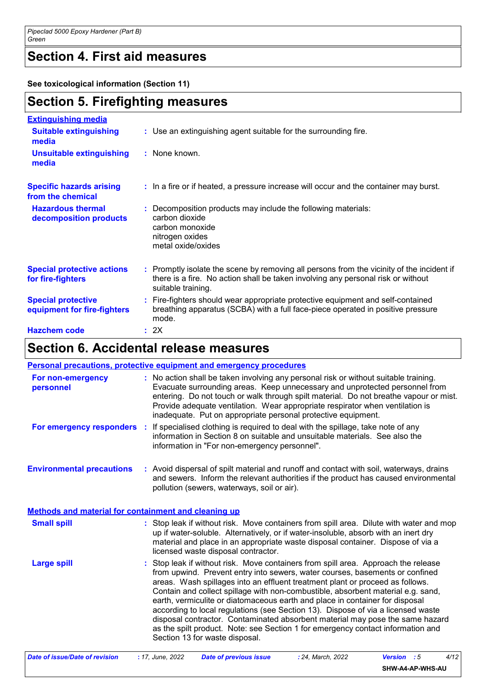### **Section 4. First aid measures**

**See toxicological information (Section 11)**

### **Section 5. Firefighting measures**

| <b>Extinguishing media</b>                               |                                                                                                                                                                                                     |
|----------------------------------------------------------|-----------------------------------------------------------------------------------------------------------------------------------------------------------------------------------------------------|
| <b>Suitable extinguishing</b><br>media                   | : Use an extinguishing agent suitable for the surrounding fire.                                                                                                                                     |
| <b>Unsuitable extinguishing</b><br>media                 | : None known.                                                                                                                                                                                       |
| <b>Specific hazards arising</b><br>from the chemical     | : In a fire or if heated, a pressure increase will occur and the container may burst.                                                                                                               |
| <b>Hazardous thermal</b><br>decomposition products       | : Decomposition products may include the following materials:<br>carbon dioxide<br>carbon monoxide<br>nitrogen oxides<br>metal oxide/oxides                                                         |
| <b>Special protective actions</b><br>for fire-fighters   | : Promptly isolate the scene by removing all persons from the vicinity of the incident if<br>there is a fire. No action shall be taken involving any personal risk or without<br>suitable training. |
| <b>Special protective</b><br>equipment for fire-fighters | : Fire-fighters should wear appropriate protective equipment and self-contained<br>breathing apparatus (SCBA) with a full face-piece operated in positive pressure<br>mode.                         |
| <b>Hazchem code</b>                                      | : 2X                                                                                                                                                                                                |

### **Section 6. Accidental release measures**

|                                                             | <b>Personal precautions, protective equipment and emergency procedures</b>                                                                                                                                                                                                                                                                                                                                                                                                                                                                                                                                                                                                                                        |
|-------------------------------------------------------------|-------------------------------------------------------------------------------------------------------------------------------------------------------------------------------------------------------------------------------------------------------------------------------------------------------------------------------------------------------------------------------------------------------------------------------------------------------------------------------------------------------------------------------------------------------------------------------------------------------------------------------------------------------------------------------------------------------------------|
| For non-emergency<br>personnel                              | : No action shall be taken involving any personal risk or without suitable training.<br>Evacuate surrounding areas. Keep unnecessary and unprotected personnel from<br>entering. Do not touch or walk through spilt material. Do not breathe vapour or mist.<br>Provide adequate ventilation. Wear appropriate respirator when ventilation is<br>inadequate. Put on appropriate personal protective equipment.                                                                                                                                                                                                                                                                                                    |
|                                                             | For emergency responders : If specialised clothing is required to deal with the spillage, take note of any<br>information in Section 8 on suitable and unsuitable materials. See also the<br>information in "For non-emergency personnel".                                                                                                                                                                                                                                                                                                                                                                                                                                                                        |
| <b>Environmental precautions</b>                            | : Avoid dispersal of spilt material and runoff and contact with soil, waterways, drains<br>and sewers. Inform the relevant authorities if the product has caused environmental<br>pollution (sewers, waterways, soil or air).                                                                                                                                                                                                                                                                                                                                                                                                                                                                                     |
| <b>Methods and material for containment and cleaning up</b> |                                                                                                                                                                                                                                                                                                                                                                                                                                                                                                                                                                                                                                                                                                                   |
| <b>Small spill</b>                                          | : Stop leak if without risk. Move containers from spill area. Dilute with water and mop<br>up if water-soluble. Alternatively, or if water-insoluble, absorb with an inert dry<br>material and place in an appropriate waste disposal container. Dispose of via a<br>licensed waste disposal contractor.                                                                                                                                                                                                                                                                                                                                                                                                          |
| <b>Large spill</b>                                          | : Stop leak if without risk. Move containers from spill area. Approach the release<br>from upwind. Prevent entry into sewers, water courses, basements or confined<br>areas. Wash spillages into an effluent treatment plant or proceed as follows.<br>Contain and collect spillage with non-combustible, absorbent material e.g. sand,<br>earth, vermiculite or diatomaceous earth and place in container for disposal<br>according to local regulations (see Section 13). Dispose of via a licensed waste<br>disposal contractor. Contaminated absorbent material may pose the same hazard<br>as the spilt product. Note: see Section 1 for emergency contact information and<br>Section 13 for waste disposal. |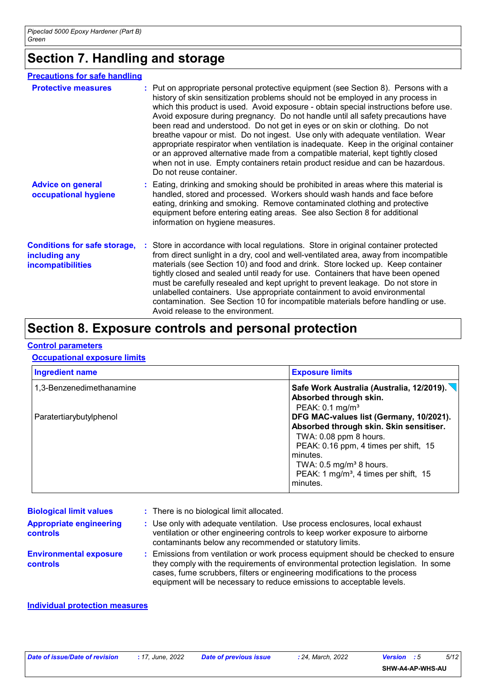### **Section 7. Handling and storage**

#### **Precautions for safe handling**

| <b>Protective measures</b>                                                | : Put on appropriate personal protective equipment (see Section 8). Persons with a<br>history of skin sensitization problems should not be employed in any process in<br>which this product is used. Avoid exposure - obtain special instructions before use.<br>Avoid exposure during pregnancy. Do not handle until all safety precautions have<br>been read and understood. Do not get in eyes or on skin or clothing. Do not<br>breathe vapour or mist. Do not ingest. Use only with adequate ventilation. Wear<br>appropriate respirator when ventilation is inadequate. Keep in the original container<br>or an approved alternative made from a compatible material, kept tightly closed<br>when not in use. Empty containers retain product residue and can be hazardous.<br>Do not reuse container. |
|---------------------------------------------------------------------------|--------------------------------------------------------------------------------------------------------------------------------------------------------------------------------------------------------------------------------------------------------------------------------------------------------------------------------------------------------------------------------------------------------------------------------------------------------------------------------------------------------------------------------------------------------------------------------------------------------------------------------------------------------------------------------------------------------------------------------------------------------------------------------------------------------------|
| <b>Advice on general</b><br>occupational hygiene                          | : Eating, drinking and smoking should be prohibited in areas where this material is<br>handled, stored and processed. Workers should wash hands and face before<br>eating, drinking and smoking. Remove contaminated clothing and protective<br>equipment before entering eating areas. See also Section 8 for additional<br>information on hygiene measures.                                                                                                                                                                                                                                                                                                                                                                                                                                                |
| <b>Conditions for safe storage,</b><br>including any<br>incompatibilities | : Store in accordance with local regulations. Store in original container protected<br>from direct sunlight in a dry, cool and well-ventilated area, away from incompatible<br>materials (see Section 10) and food and drink. Store locked up. Keep container<br>tightly closed and sealed until ready for use. Containers that have been opened<br>must be carefully resealed and kept upright to prevent leakage. Do not store in<br>unlabelled containers. Use appropriate containment to avoid environmental<br>contamination. See Section 10 for incompatible materials before handling or use.<br>Avoid release to the environment.                                                                                                                                                                    |

### **Section 8. Exposure controls and personal protection**

#### **Control parameters**

#### **Occupational exposure limits**

| <b>Ingredient name</b>   | <b>Exposure limits</b>                                                                                                                                                                                                                                                   |
|--------------------------|--------------------------------------------------------------------------------------------------------------------------------------------------------------------------------------------------------------------------------------------------------------------------|
| 1,3-Benzenedimethanamine | Absorbed through skin.<br>PEAK: $0.1$ mg/m <sup>3</sup>                                                                                                                                                                                                                  |
| Paratertiarybutylphenol  | DFG MAC-values list (Germany, 10/2021).<br>Absorbed through skin. Skin sensitiser.<br>TWA: 0.08 ppm 8 hours.<br>PEAK: 0.16 ppm, 4 times per shift, 15<br>minutes.<br>TWA: $0.5 \text{ mg/m}^3$ 8 hours.<br>PEAK: 1 mg/m <sup>3</sup> , 4 times per shift, 15<br>minutes. |

| <b>Biological limit values</b>                    | : There is no biological limit allocated.                                                                                                                                                                                                                                                                                       |
|---------------------------------------------------|---------------------------------------------------------------------------------------------------------------------------------------------------------------------------------------------------------------------------------------------------------------------------------------------------------------------------------|
| <b>Appropriate engineering</b><br><b>controls</b> | : Use only with adequate ventilation. Use process enclosures, local exhaust<br>ventilation or other engineering controls to keep worker exposure to airborne<br>contaminants below any recommended or statutory limits.                                                                                                         |
| <b>Environmental exposure</b><br><b>controls</b>  | : Emissions from ventilation or work process equipment should be checked to ensure<br>they comply with the requirements of environmental protection legislation. In some<br>cases, fume scrubbers, filters or engineering modifications to the process<br>equipment will be necessary to reduce emissions to acceptable levels. |

#### **Individual protection measures**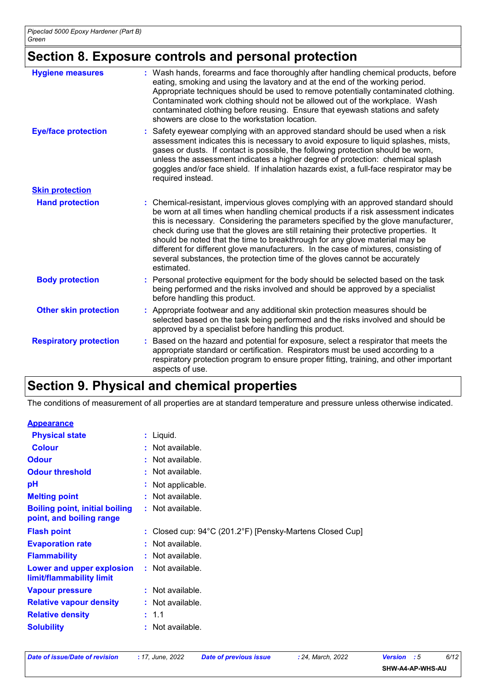### **Section 8. Exposure controls and personal protection**

| <b>Hygiene measures</b>       | : Wash hands, forearms and face thoroughly after handling chemical products, before<br>eating, smoking and using the lavatory and at the end of the working period.<br>Appropriate techniques should be used to remove potentially contaminated clothing.<br>Contaminated work clothing should not be allowed out of the workplace. Wash<br>contaminated clothing before reusing. Ensure that eyewash stations and safety<br>showers are close to the workstation location.                                                                                                                                               |  |  |
|-------------------------------|---------------------------------------------------------------------------------------------------------------------------------------------------------------------------------------------------------------------------------------------------------------------------------------------------------------------------------------------------------------------------------------------------------------------------------------------------------------------------------------------------------------------------------------------------------------------------------------------------------------------------|--|--|
| <b>Eye/face protection</b>    | Safety eyewear complying with an approved standard should be used when a risk<br>assessment indicates this is necessary to avoid exposure to liquid splashes, mists,<br>gases or dusts. If contact is possible, the following protection should be worn,<br>unless the assessment indicates a higher degree of protection: chemical splash<br>goggles and/or face shield. If inhalation hazards exist, a full-face respirator may be<br>required instead.                                                                                                                                                                 |  |  |
| <b>Skin protection</b>        |                                                                                                                                                                                                                                                                                                                                                                                                                                                                                                                                                                                                                           |  |  |
| <b>Hand protection</b>        | : Chemical-resistant, impervious gloves complying with an approved standard should<br>be worn at all times when handling chemical products if a risk assessment indicates<br>this is necessary. Considering the parameters specified by the glove manufacturer,<br>check during use that the gloves are still retaining their protective properties. It<br>should be noted that the time to breakthrough for any glove material may be<br>different for different glove manufacturers. In the case of mixtures, consisting of<br>several substances, the protection time of the gloves cannot be accurately<br>estimated. |  |  |
| <b>Body protection</b>        | Personal protective equipment for the body should be selected based on the task<br>being performed and the risks involved and should be approved by a specialist<br>before handling this product.                                                                                                                                                                                                                                                                                                                                                                                                                         |  |  |
| <b>Other skin protection</b>  | Appropriate footwear and any additional skin protection measures should be<br>selected based on the task being performed and the risks involved and should be<br>approved by a specialist before handling this product.                                                                                                                                                                                                                                                                                                                                                                                                   |  |  |
| <b>Respiratory protection</b> | Based on the hazard and potential for exposure, select a respirator that meets the<br>appropriate standard or certification. Respirators must be used according to a<br>respiratory protection program to ensure proper fitting, training, and other important<br>aspects of use.                                                                                                                                                                                                                                                                                                                                         |  |  |

### **Section 9. Physical and chemical properties**

The conditions of measurement of all properties are at standard temperature and pressure unless otherwise indicated.

| <b>Appearance</b>                                                 |                                                                               |
|-------------------------------------------------------------------|-------------------------------------------------------------------------------|
| <b>Physical state</b>                                             | : Liquid.                                                                     |
| <b>Colour</b>                                                     | : Not available.                                                              |
| <b>Odour</b>                                                      | : Not available.                                                              |
| <b>Odour threshold</b>                                            | $\cdot$ Not available.                                                        |
| рH                                                                | : Not applicable.                                                             |
| <b>Melting point</b>                                              | $:$ Not available.                                                            |
| <b>Boiling point, initial boiling</b><br>point, and boiling range | : Not available.                                                              |
|                                                                   |                                                                               |
| <b>Flash point</b>                                                | : Closed cup: $94^{\circ}$ C (201.2 $^{\circ}$ F) [Pensky-Martens Closed Cup] |
| <b>Evaporation rate</b>                                           | : Not available.                                                              |
| <b>Flammability</b>                                               | : Not available.                                                              |
| Lower and upper explosion<br>limit/flammability limit             | : Not available.                                                              |
| <b>Vapour pressure</b>                                            | : Not available.                                                              |
| <b>Relative vapour density</b>                                    | : Not available.                                                              |
| <b>Relative density</b>                                           | : 1.1                                                                         |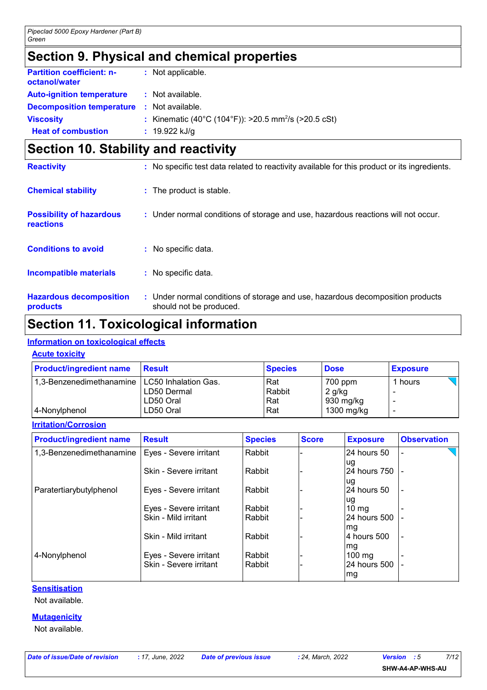### **Section 9. Physical and chemical properties**

| <b>Partition coefficient: n-</b><br>octanol/water | : Not applicable.                                                |
|---------------------------------------------------|------------------------------------------------------------------|
| <b>Auto-ignition temperature</b>                  | : Not available.                                                 |
| <b>Decomposition temperature : Not available.</b> |                                                                  |
| <b>Viscosity</b>                                  | : Kinematic (40°C (104°F)): >20.5 mm <sup>2</sup> /s (>20.5 cSt) |
| <b>Heat of combustion</b>                         | $: 19.922$ kJ/g                                                  |

### **Section 10. Stability and reactivity**

|                                              | .                                                                                                         |
|----------------------------------------------|-----------------------------------------------------------------------------------------------------------|
| <b>Hazardous decomposition</b><br>products   | : Under normal conditions of storage and use, hazardous decomposition products<br>should not be produced. |
| <b>Incompatible materials</b>                | : No specific data.                                                                                       |
| <b>Conditions to avoid</b>                   | : No specific data.                                                                                       |
| <b>Possibility of hazardous</b><br>reactions | : Under normal conditions of storage and use, hazardous reactions will not occur.                         |
| <b>Chemical stability</b>                    | : The product is stable.                                                                                  |
| <b>Reactivity</b>                            | : No specific test data related to reactivity available for this product or its ingredients.              |

### **Section 11. Toxicological information**

### **Information on toxicological effects**

#### **Acute toxicity**

| <b>Product/ingredient name</b>                  | Result      | <b>Species</b> | <b>Dose</b> | <b>Exposure</b> |
|-------------------------------------------------|-------------|----------------|-------------|-----------------|
| 1,3-Benzenedimethanamine   LC50 Inhalation Gas. |             | Rat            | 700 ppm     | 1 hours         |
|                                                 | LD50 Dermal | Rabbit         | $2$ g/kg    |                 |
|                                                 | LD50 Oral   | Rat            | 930 mg/kg   |                 |
| 4-Nonylphenol                                   | LD50 Oral   | Rat            | 1300 mg/kg  |                 |

#### **Irritation/Corrosion**

| <b>Product/ingredient name</b>                    | <b>Result</b>          | <b>Species</b> | <b>Score</b> | <b>Exposure</b>         | <b>Observation</b>       |
|---------------------------------------------------|------------------------|----------------|--------------|-------------------------|--------------------------|
| 1,3-Benzenedimethanamine   Eyes - Severe irritant |                        | Rabbit         |              | 24 hours 50             |                          |
|                                                   | Skin - Severe irritant | Rabbit         |              | lug<br>24 hours 750     |                          |
| Paratertiarybutylphenol                           | Eyes - Severe irritant | Rabbit         |              | lug<br>24 hours 50      |                          |
|                                                   | Eyes - Severe irritant | Rabbit         |              | lug<br>10 <sub>mg</sub> |                          |
|                                                   | Skin - Mild irritant   | Rabbit         |              | 24 hours 500            |                          |
|                                                   | Skin - Mild irritant   | Rabbit         |              | mg<br>l4 hours 500      | $\overline{\phantom{a}}$ |
| 4-Nonylphenol                                     | Eyes - Severe irritant | Rabbit         |              | mg<br>$100$ mg          |                          |
|                                                   | Skin - Severe irritant | Rabbit         |              | 24 hours 500<br>mg      |                          |

#### **Sensitisation**

Not available.

#### **Mutagenicity**

Not available.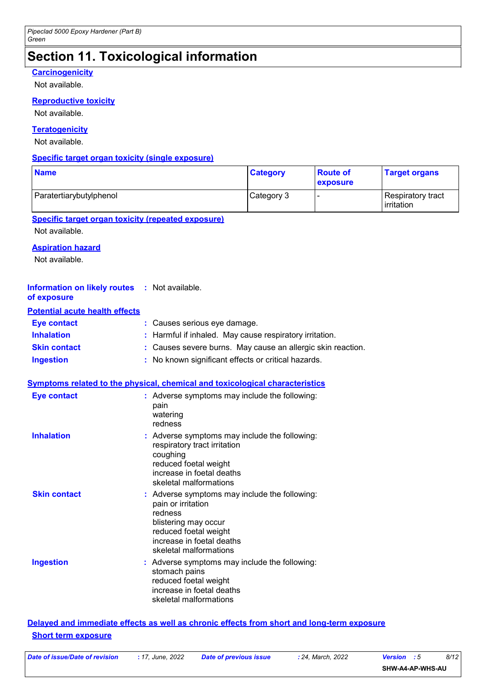## **Section 11. Toxicological information**

#### **Carcinogenicity**

Not available.

#### **Reproductive toxicity**

Not available.

#### **Teratogenicity**

Not available.

#### **Specific target organ toxicity (single exposure)**

| <b>Name</b>             | <b>Category</b> | <b>Route of</b><br>exposure | <b>Target organs</b>            |
|-------------------------|-----------------|-----------------------------|---------------------------------|
| Paratertiarybutylphenol | Category 3      |                             | Respiratory tract<br>irritation |

#### **Specific target organ toxicity (repeated exposure)**

Not available.

#### **Aspiration hazard**

Not available.

| <b>Information on likely routes : Not available.</b><br>of exposure |                                                                                                                                                                                        |
|---------------------------------------------------------------------|----------------------------------------------------------------------------------------------------------------------------------------------------------------------------------------|
| <b>Potential acute health effects</b>                               |                                                                                                                                                                                        |
| <b>Eye contact</b>                                                  | : Causes serious eye damage.                                                                                                                                                           |
| <b>Inhalation</b>                                                   | Harmful if inhaled. May cause respiratory irritation.                                                                                                                                  |
| <b>Skin contact</b>                                                 | : Causes severe burns. May cause an allergic skin reaction.                                                                                                                            |
| <b>Ingestion</b>                                                    | : No known significant effects or critical hazards.                                                                                                                                    |
|                                                                     | <b>Symptoms related to the physical, chemical and toxicological characteristics</b>                                                                                                    |
| <b>Eye contact</b>                                                  | : Adverse symptoms may include the following:<br>pain<br>watering<br>redness                                                                                                           |
| <b>Inhalation</b>                                                   | : Adverse symptoms may include the following:<br>respiratory tract irritation<br>coughing<br>reduced foetal weight<br>increase in foetal deaths<br>skeletal malformations              |
| <b>Skin contact</b>                                                 | : Adverse symptoms may include the following:<br>pain or irritation<br>redness<br>blistering may occur<br>reduced foetal weight<br>increase in foetal deaths<br>skeletal malformations |

#### **Ingestion** Adverse symptoms may include the following: **:** stomach pains reduced foetal weight increase in foetal deaths skeletal malformations

#### **Delayed and immediate effects as well as chronic effects from short and long-term exposure Short term exposure**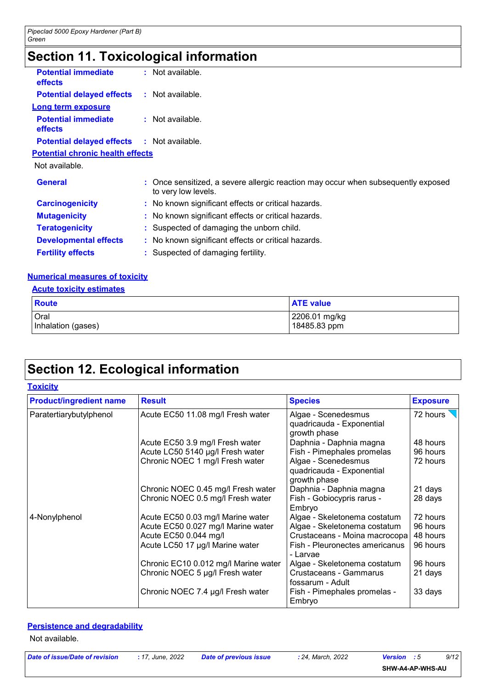### **Section 11. Toxicological information**

| <b>Potential immediate</b><br>effects             | : Not available.                                                                                         |
|---------------------------------------------------|----------------------------------------------------------------------------------------------------------|
| <b>Potential delayed effects</b>                  | : Not available.                                                                                         |
| <b>Long term exposure</b>                         |                                                                                                          |
| <b>Potential immediate</b><br>effects             | : Not available.                                                                                         |
| <b>Potential delayed effects : Not available.</b> |                                                                                                          |
| <b>Potential chronic health effects</b>           |                                                                                                          |
| Not available.                                    |                                                                                                          |
| <b>General</b>                                    | : Once sensitized, a severe allergic reaction may occur when subsequently exposed<br>to very low levels. |
| <b>Carcinogenicity</b>                            | : No known significant effects or critical hazards.                                                      |
| <b>Mutagenicity</b>                               | : No known significant effects or critical hazards.                                                      |
| <b>Teratogenicity</b>                             | : Suspected of damaging the unborn child.                                                                |
| <b>Developmental effects</b>                      | : No known significant effects or critical hazards.                                                      |
| <b>Fertility effects</b>                          | Suspected of damaging fertility.                                                                         |

#### **Numerical measures of toxicity**

#### **Acute toxicity estimates**

| <b>Route</b>       | <b>ATE</b> value |
|--------------------|------------------|
| Oral               | 2206.01 mg/kg    |
| Inhalation (gases) | 18485.83 ppm     |

### **Section 12. Ecological information**

| <b>Toxicity</b>                |                                      |                                                                  |                 |
|--------------------------------|--------------------------------------|------------------------------------------------------------------|-----------------|
| <b>Product/ingredient name</b> | <b>Result</b>                        | <b>Species</b>                                                   | <b>Exposure</b> |
| Paratertiarybutylphenol        | Acute EC50 11.08 mg/l Fresh water    | Algae - Scenedesmus<br>quadricauda - Exponential<br>growth phase | 72 hours        |
|                                | Acute EC50 3.9 mg/l Fresh water      | Daphnia - Daphnia magna                                          | 48 hours        |
|                                | Acute LC50 5140 µg/l Fresh water     | Fish - Pimephales promelas                                       | 96 hours        |
|                                | Chronic NOEC 1 mg/l Fresh water      | Algae - Scenedesmus<br>quadricauda - Exponential<br>growth phase | 72 hours        |
|                                | Chronic NOEC 0.45 mg/l Fresh water   | Daphnia - Daphnia magna                                          | 21 days         |
|                                | Chronic NOEC 0.5 mg/l Fresh water    | Fish - Gobiocypris rarus -<br>Embryo                             | 28 days         |
| 4-Nonylphenol                  | Acute EC50 0.03 mg/l Marine water    | Algae - Skeletonema costatum                                     | 72 hours        |
|                                | Acute EC50 0.027 mg/l Marine water   | Algae - Skeletonema costatum                                     | 96 hours        |
|                                | Acute EC50 0.044 mg/l                | Crustaceans - Moina macrocopa                                    | 48 hours        |
|                                | Acute LC50 17 µg/l Marine water      | Fish - Pleuronectes americanus<br>- Larvae                       | 96 hours        |
|                                | Chronic EC10 0.012 mg/l Marine water | Algae - Skeletonema costatum                                     | 96 hours        |
|                                | Chronic NOEC 5 µg/l Fresh water      | Crustaceans - Gammarus<br>fossarum - Adult                       | 21 days         |
|                                | Chronic NOEC 7.4 µg/l Fresh water    | Fish - Pimephales promelas -<br>Embryo                           | 33 days         |

#### **Persistence and degradability**

Not available.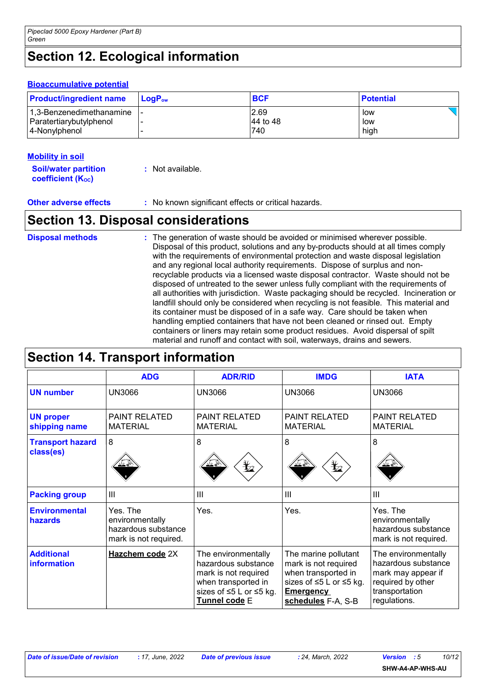## **Section 12. Ecological information**

#### **Bioaccumulative potential**

| <b>Product/ingredient name</b> | $\blacksquare$ Log $\mathsf{P}_{\mathsf{ow}}$ | <b>BCF</b> | <b>Potential</b> |
|--------------------------------|-----------------------------------------------|------------|------------------|
| 1,3-Benzenedimethanamine  -    |                                               | 2.69       | low              |
| Paratertiarybutylphenol        |                                               | 44 to 48   | low              |
| 4-Nonylphenol                  |                                               | 740        | high             |

#### **Mobility in soil**

| <b>Soil/water partition</b> | : Not available. |
|-----------------------------|------------------|
| <b>coefficient (Koc)</b>    |                  |

**Other adverse effects** : No known significant effects or critical hazards.

### **Section 13. Disposal considerations**

The generation of waste should be avoided or minimised wherever possible. Disposal of this product, solutions and any by-products should at all times comply with the requirements of environmental protection and waste disposal legislation and any regional local authority requirements. Dispose of surplus and nonrecyclable products via a licensed waste disposal contractor. Waste should not be disposed of untreated to the sewer unless fully compliant with the requirements of all authorities with jurisdiction. Waste packaging should be recycled. Incineration or landfill should only be considered when recycling is not feasible. This material and its container must be disposed of in a safe way. Care should be taken when handling emptied containers that have not been cleaned or rinsed out. Empty containers or liners may retain some product residues. Avoid dispersal of spilt material and runoff and contact with soil, waterways, drains and sewers. **Disposal methods :**

| <b>Section 14. Transport information</b> |                                                                             |                                                                                                                                       |                                                                                                                                          |                                                                                                                         |
|------------------------------------------|-----------------------------------------------------------------------------|---------------------------------------------------------------------------------------------------------------------------------------|------------------------------------------------------------------------------------------------------------------------------------------|-------------------------------------------------------------------------------------------------------------------------|
|                                          | <b>ADG</b>                                                                  | <b>ADR/RID</b>                                                                                                                        | <b>IMDG</b>                                                                                                                              | <b>IATA</b>                                                                                                             |
| <b>UN number</b>                         | <b>UN3066</b>                                                               | UN3066                                                                                                                                | <b>UN3066</b>                                                                                                                            | <b>UN3066</b>                                                                                                           |
| <b>UN proper</b><br>shipping name        | <b>PAINT RELATED</b><br><b>MATERIAL</b>                                     | <b>PAINT RELATED</b><br><b>MATERIAL</b>                                                                                               | <b>PAINT RELATED</b><br><b>MATERIAL</b>                                                                                                  | <b>PAINT RELATED</b><br><b>MATERIAL</b>                                                                                 |
| <b>Transport hazard</b><br>class(es)     | 8                                                                           | 8<br>$\mathbf{Y}_2$                                                                                                                   | 8<br>$\bigstar_2$                                                                                                                        | 8                                                                                                                       |
| <b>Packing group</b>                     | III                                                                         | III                                                                                                                                   | Ш                                                                                                                                        | $\mathbf{III}$                                                                                                          |
| <b>Environmental</b><br>hazards          | Yes. The<br>environmentally<br>hazardous substance<br>mark is not required. | Yes.                                                                                                                                  | Yes.                                                                                                                                     | Yes. The<br>environmentally<br>hazardous substance<br>mark is not required.                                             |
| <b>Additional</b><br>information         | Hazchem code 2X                                                             | The environmentally<br>hazardous substance<br>mark is not required<br>when transported in<br>sizes of ≤5 L or ≤5 kg.<br>Tunnel code E | The marine pollutant<br>mark is not required<br>when transported in<br>sizes of ≤5 L or ≤5 kg.<br><b>Emergency</b><br>schedules F-A, S-B | The environmentally<br>hazardous substance<br>mark may appear if<br>required by other<br>transportation<br>regulations. |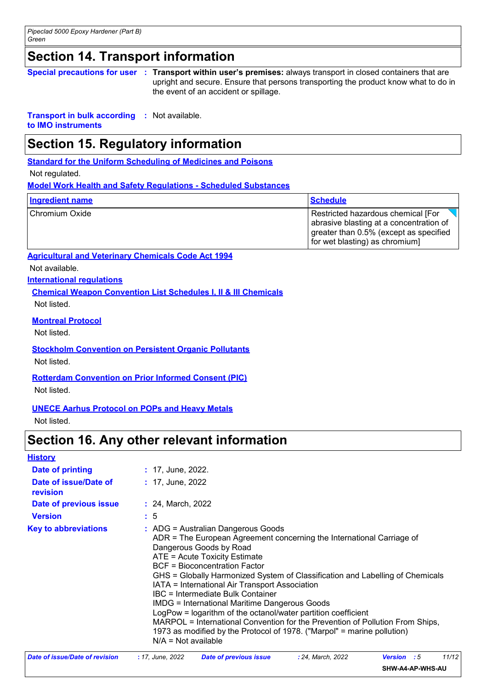### **Section 14. Transport information**

**Special precautions for user Transport within user's premises:** always transport in closed containers that are **:** upright and secure. Ensure that persons transporting the product know what to do in the event of an accident or spillage.

**Transport in bulk according :** Not available.

**to IMO instruments**

### **Section 15. Regulatory information**

**Standard for the Uniform Scheduling of Medicines and Poisons**

Not regulated.

**Model Work Health and Safety Regulations - Scheduled Substances**

| <b>Ingredient name</b> | <b>Schedule</b>                                                                                                                                           |
|------------------------|-----------------------------------------------------------------------------------------------------------------------------------------------------------|
| Chromium Oxide         | Restricted hazardous chemical [For<br>abrasive blasting at a concentration of<br>greater than 0.5% (except as specified<br>for wet blasting) as chromium] |

**Agricultural and Veterinary Chemicals Code Act 1994**

Not available.

**International regulations**

**Chemical Weapon Convention List Schedules I, II & III Chemicals**

Not listed.

**Montreal Protocol**

Not listed.

**Stockholm Convention on Persistent Organic Pollutants**

Not listed.

**Rotterdam Convention on Prior Informed Consent (PIC)**

Not listed.

#### **UNECE Aarhus Protocol on POPs and Heavy Metals**

Not listed.

### **Section 16. Any other relevant information**

| <b>History</b>                    |                                                                                                                                                                                                                                                                                                                                                                                                                                                                                                                                                                                                                                                                                                |
|-----------------------------------|------------------------------------------------------------------------------------------------------------------------------------------------------------------------------------------------------------------------------------------------------------------------------------------------------------------------------------------------------------------------------------------------------------------------------------------------------------------------------------------------------------------------------------------------------------------------------------------------------------------------------------------------------------------------------------------------|
| <b>Date of printing</b>           | $: 17,$ June, 2022.                                                                                                                                                                                                                                                                                                                                                                                                                                                                                                                                                                                                                                                                            |
| Date of issue/Date of<br>revision | $: 17,$ June, 2022                                                                                                                                                                                                                                                                                                                                                                                                                                                                                                                                                                                                                                                                             |
| Date of previous issue            | : 24, March, 2022                                                                                                                                                                                                                                                                                                                                                                                                                                                                                                                                                                                                                                                                              |
| <b>Version</b>                    | : 5                                                                                                                                                                                                                                                                                                                                                                                                                                                                                                                                                                                                                                                                                            |
| <b>Key to abbreviations</b>       | : ADG = Australian Dangerous Goods<br>ADR = The European Agreement concerning the International Carriage of<br>Dangerous Goods by Road<br>ATE = Acute Toxicity Estimate<br><b>BCF</b> = Bioconcentration Factor<br>GHS = Globally Harmonized System of Classification and Labelling of Chemicals<br>IATA = International Air Transport Association<br>IBC = Intermediate Bulk Container<br>IMDG = International Maritime Dangerous Goods<br>LogPow = logarithm of the octanol/water partition coefficient<br>MARPOL = International Convention for the Prevention of Pollution From Ships,<br>1973 as modified by the Protocol of 1978. ("Marpol" = marine pollution)<br>$N/A = Not available$ |